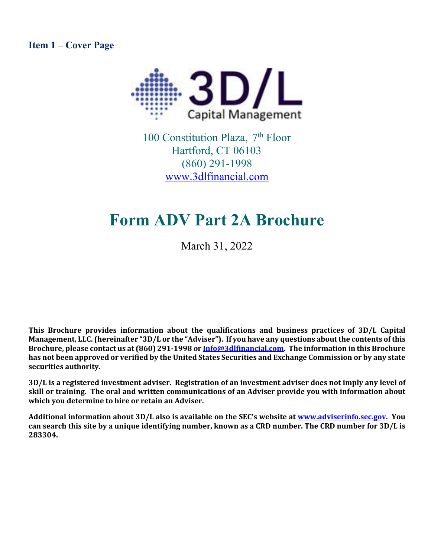<span id="page-0-0"></span>**Item 1 – Cover Page**



100 Constitution Plaza, 7<sup>th</sup> Floor Hartford, CT 06103 (860) 291-1998 [www.3dlfinancial.com](http://www.3dlfinancial.com/)

# **Form ADV Part 2A Brochure**

March 31, 2022

**This Brochure provides information about the qualifications and business practices of 3D/L Capital Management, LLC. (hereinafter "3D/L or the "Adviser"). If you have any questions about the contents of this Brochure, please contact us at (860) 291-1998 o[r Info@3dlfinancial.com.](mailto:Info@3dlfinancial.com) The information in this Brochure has not been approved or verified by the United States Securities and Exchange Commission or by any state securities authority.**

**3D/L is a registered investment adviser. Registration of an investment adviser does not imply any level of skill or training. The oral and written communications of an Adviser provide you with information about which you determine to hire or retain an Adviser.** 

**Additional information about 3D/L also is available on the SEC's website at [www.adviserinfo.sec.gov.](http://www.adviserinfo.sec.gov/) You can search this site by a unique identifying number, known as a CRD number. The CRD number for 3D/L is 283304.**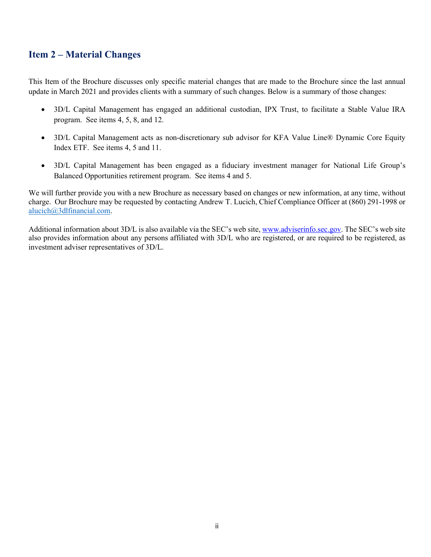## <span id="page-1-0"></span>**Item 2 – Material Changes**

This Item of the Brochure discusses only specific material changes that are made to the Brochure since the last annual update in March 2021 and provides clients with a summary of such changes. Below is a summary of those changes:

- 3D/L Capital Management has engaged an additional custodian, IPX Trust, to facilitate a Stable Value IRA program. See items 4, 5, 8, and 12.
- 3D/L Capital Management acts as non-discretionary sub advisor for KFA Value Line® Dynamic Core Equity Index ETF. See items 4, 5 and 11.
- 3D/L Capital Management has been engaged as a fiduciary investment manager for National Life Group's Balanced Opportunities retirement program. See items 4 and 5.

We will further provide you with a new Brochure as necessary based on changes or new information, at any time, without charge. Our Brochure may be requested by contacting Andrew T. Lucich, Chief Compliance Officer at (860) 291-1998 or [alucich@3dlfinancial.com.](mailto:alucich@3dlfinancial.com)

Additional information about 3D/L is also available via the SEC's web site[, www.adviserinfo.sec.gov.](http://www.adviserinfo.sec.gov/) The SEC's web site also provides information about any persons affiliated with 3D/L who are registered, or are required to be registered, as investment adviser representatives of 3D/L.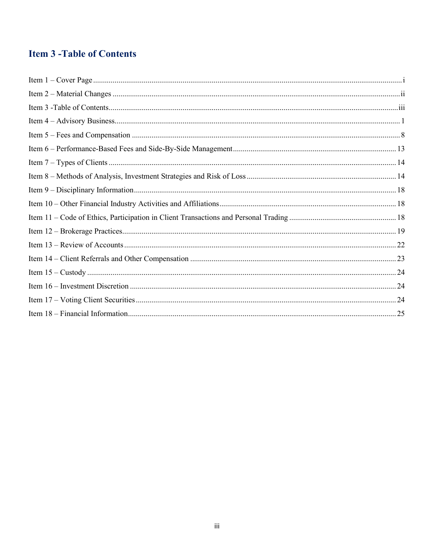## <span id="page-2-0"></span>**Item 3 - Table of Contents**

| $\begin{minipage}{0.9\linewidth} \textbf{Item 1} - \textbf{Cover Page} \end{minipage} \begin{minipage}{0.9\linewidth} \textbf{Item 1} - \textbf{Cover Page} \end{minipage} \begin{minipage}{0.9\linewidth} \textbf{Item 2} - \textbf{Cover Page} \end{minipage} \begin{minipage}{0.9\linewidth} \textbf{Item 3} - \textbf{Cover Page} \end{minipage} \begin{minipage}{0.9\linewidth} \textbf{Item 4} - \textbf{Cover Page} \end{minipage} \begin{minipage}{0.9\linewidth} \textbf{Item 5} - \textbf{Cover Page} \end{minipage} \begin{min$ |  |
|--------------------------------------------------------------------------------------------------------------------------------------------------------------------------------------------------------------------------------------------------------------------------------------------------------------------------------------------------------------------------------------------------------------------------------------------------------------------------------------------------------------------------------------------|--|
|                                                                                                                                                                                                                                                                                                                                                                                                                                                                                                                                            |  |
|                                                                                                                                                                                                                                                                                                                                                                                                                                                                                                                                            |  |
|                                                                                                                                                                                                                                                                                                                                                                                                                                                                                                                                            |  |
|                                                                                                                                                                                                                                                                                                                                                                                                                                                                                                                                            |  |
|                                                                                                                                                                                                                                                                                                                                                                                                                                                                                                                                            |  |
|                                                                                                                                                                                                                                                                                                                                                                                                                                                                                                                                            |  |
|                                                                                                                                                                                                                                                                                                                                                                                                                                                                                                                                            |  |
|                                                                                                                                                                                                                                                                                                                                                                                                                                                                                                                                            |  |
|                                                                                                                                                                                                                                                                                                                                                                                                                                                                                                                                            |  |
|                                                                                                                                                                                                                                                                                                                                                                                                                                                                                                                                            |  |
|                                                                                                                                                                                                                                                                                                                                                                                                                                                                                                                                            |  |
|                                                                                                                                                                                                                                                                                                                                                                                                                                                                                                                                            |  |
|                                                                                                                                                                                                                                                                                                                                                                                                                                                                                                                                            |  |
|                                                                                                                                                                                                                                                                                                                                                                                                                                                                                                                                            |  |
|                                                                                                                                                                                                                                                                                                                                                                                                                                                                                                                                            |  |
|                                                                                                                                                                                                                                                                                                                                                                                                                                                                                                                                            |  |
|                                                                                                                                                                                                                                                                                                                                                                                                                                                                                                                                            |  |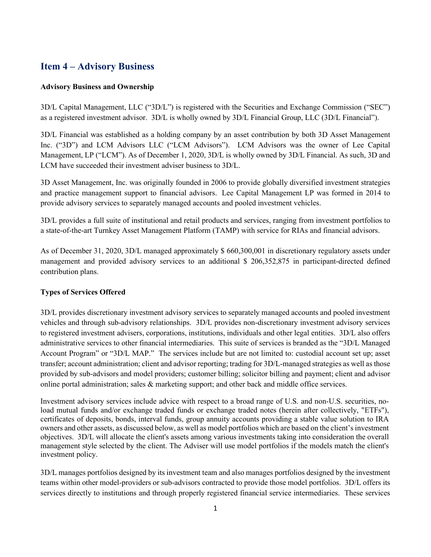## <span id="page-3-0"></span>**Item 4 – Advisory Business**

#### **Advisory Business and Ownership**

3D/L Capital Management, LLC ("3D/L") is registered with the Securities and Exchange Commission ("SEC") as a registered investment advisor. 3D/L is wholly owned by 3D/L Financial Group, LLC (3D/L Financial").

3D/L Financial was established as a holding company by an asset contribution by both 3D Asset Management Inc. ("3D") and LCM Advisors LLC ("LCM Advisors"). LCM Advisors was the owner of Lee Capital Management, LP ("LCM"). As of December 1, 2020, 3D/L is wholly owned by 3D/L Financial. As such, 3D and LCM have succeeded their investment adviser business to 3D/L.

3D Asset Management, Inc. was originally founded in 2006 to provide globally diversified investment strategies and practice management support to financial advisors. Lee Capital Management LP was formed in 2014 to provide advisory services to separately managed accounts and pooled investment vehicles.

3D/L provides a full suite of institutional and retail products and services, ranging from investment portfolios to a state-of-the-art Turnkey Asset Management Platform (TAMP) with service for RIAs and financial advisors.

As of December 31, 2020, 3D/L managed approximately \$ 660,300,001 in discretionary regulatory assets under management and provided advisory services to an additional \$ 206,352,875 in participant-directed defined contribution plans.

#### **Types of Services Offered**

3D/L provides discretionary investment advisory services to separately managed accounts and pooled investment vehicles and through sub-advisory relationships. 3D/L provides non-discretionary investment advisory services to registered investment advisers, corporations, institutions, individuals and other legal entities. 3D/L also offers administrative services to other financial intermediaries. This suite of services is branded as the "3D/L Managed Account Program" or "3D/L MAP." The services include but are not limited to: custodial account set up; asset transfer; account administration; client and advisor reporting; trading for 3D/L-managed strategies as well as those provided by sub-advisors and model providers; customer billing; solicitor billing and payment; client and advisor online portal administration; sales  $\&$  marketing support; and other back and middle office services.

Investment advisory services include advice with respect to a broad range of U.S. and non-U.S. securities, noload mutual funds and/or exchange traded funds or exchange traded notes (herein after collectively, "ETFs"), certificates of deposits, bonds, interval funds, group annuity accounts providing a stable value solution to IRA owners and other assets, as discussed below, as well as model portfolios which are based on the client's investment objectives. 3D/L will allocate the client's assets among various investments taking into consideration the overall management style selected by the client. The Adviser will use model portfolios if the models match the client's investment policy.

3D/L manages portfolios designed by its investment team and also manages portfolios designed by the investment teams within other model-providers or sub-advisors contracted to provide those model portfolios. 3D/L offers its services directly to institutions and through properly registered financial service intermediaries. These services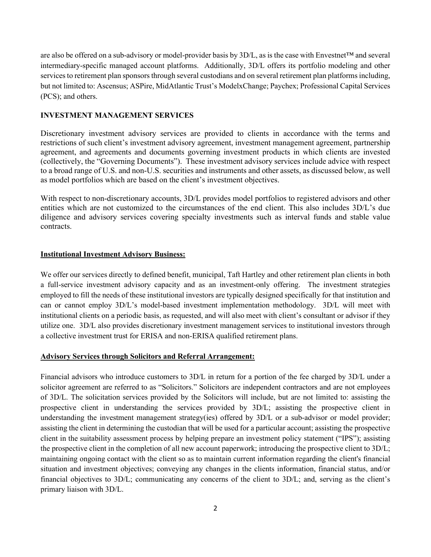are also be offered on a sub-advisory or model-provider basis by 3D/L, as is the case with Envestnet™ and several intermediary-specific managed account platforms. Additionally, 3D/L offers its portfolio modeling and other services to retirement plan sponsors through several custodians and on several retirement plan platforms including, but not limited to: Ascensus; ASPire, MidAtlantic Trust's ModelxChange; Paychex; Professional Capital Services (PCS); and others.

#### **INVESTMENT MANAGEMENT SERVICES**

Discretionary investment advisory services are provided to clients in accordance with the terms and restrictions of such client's investment advisory agreement, investment management agreement, partnership agreement, and agreements and documents governing investment products in which clients are invested (collectively, the "Governing Documents"). These investment advisory services include advice with respect to a broad range of U.S. and non-U.S. securities and instruments and other assets, as discussed below, as well as model portfolios which are based on the client's investment objectives.

With respect to non-discretionary accounts, 3D/L provides model portfolios to registered advisors and other entities which are not customized to the circumstances of the end client. This also includes 3D/L's due diligence and advisory services covering specialty investments such as interval funds and stable value contracts.

#### **Institutional Investment Advisory Business:**

We offer our services directly to defined benefit, municipal, Taft Hartley and other retirement plan clients in both a full-service investment advisory capacity and as an investment-only offering. The investment strategies employed to fill the needs of these institutional investors are typically designed specifically for that institution and can or cannot employ 3D/L's model-based investment implementation methodology. 3D/L will meet with institutional clients on a periodic basis, as requested, and will also meet with client's consultant or advisor if they utilize one. 3D/L also provides discretionary investment management services to institutional investors through a collective investment trust for ERISA and non-ERISA qualified retirement plans.

#### **Advisory Services through Solicitors and Referral Arrangement:**

Financial advisors who introduce customers to 3D/L in return for a portion of the fee charged by 3D/L under a solicitor agreement are referred to as "Solicitors." Solicitors are independent contractors and are not employees of 3D/L. The solicitation services provided by the Solicitors will include, but are not limited to: assisting the prospective client in understanding the services provided by 3D/L; assisting the prospective client in understanding the investment management strategy(ies) offered by 3D/L or a sub-advisor or model provider; assisting the client in determining the custodian that will be used for a particular account; assisting the prospective client in the suitability assessment process by helping prepare an investment policy statement ("IPS"); assisting the prospective client in the completion of all new account paperwork; introducing the prospective client to 3D/L; maintaining ongoing contact with the client so as to maintain current information regarding the client's financial situation and investment objectives; conveying any changes in the clients information, financial status, and/or financial objectives to 3D/L; communicating any concerns of the client to 3D/L; and, serving as the client's primary liaison with 3D/L.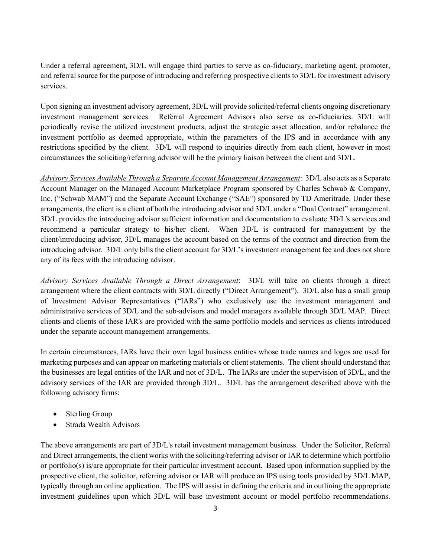Under a referral agreement, 3D/L will engage third parties to serve as co-fiduciary, marketing agent, promoter, and referral source for the purpose of introducing and referring prospective clients to 3D/L for investment advisory services.

Upon signing an investment advisory agreement, 3D/L will provide solicited/referral clients ongoing discretionary investment management services. Referral Agreement Advisors also serve as co-fiduciaries. 3D/L will periodically revise the utilized investment products, adjust the strategic asset allocation, and/or rebalance the investment portfolio as deemed appropriate, within the parameters of the IPS and in accordance with any restrictions specified by the client. 3D/L will respond to inquiries directly from each client, however in most circumstances the soliciting/referring advisor will be the primary liaison between the client and 3D/L.

*Advisory Services Available Through a Separate Account Management Arrangement*: 3D/L also acts as a Separate Account Manager on the Managed Account Marketplace Program sponsored by Charles Schwab & Company, Inc. ("Schwab MAM") and the Separate Account Exchange ("SAE") sponsored by TD Ameritrade. Under these arrangements, the client is a client of both the introducing advisor and 3D/L under a "Dual Contract" arrangement. 3D/L provides the introducing advisor sufficient information and documentation to evaluate 3D/L's services and recommend a particular strategy to his/her client. When 3D/L is contracted for management by the client/introducing advisor, 3D/L manages the account based on the terms of the contract and direction from the introducing advisor. 3D/L only bills the client account for 3D/L's investment management fee and does not share any of its fees with the introducing advisor.

*Advisory Services Available Through a Direct Arrangement*: 3D/L will take on clients through a direct arrangement where the client contracts with 3D/L directly ("Direct Arrangement"). 3D/L also has a small group of Investment Advisor Representatives ("IARs") who exclusively use the investment management and administrative services of 3D/L and the sub-advisors and model managers available through 3D/L MAP. Direct clients and clients of these IAR's are provided with the same portfolio models and services as clients introduced under the separate account management arrangements.

In certain circumstances, IARs have their own legal business entities whose trade names and logos are used for marketing purposes and can appear on marketing materials or client statements. The client should understand that the businesses are legal entities of the IAR and not of 3D/L. The IARs are under the supervision of 3D/L, and the advisory services of the IAR are provided through 3D/L. 3D/L has the arrangement described above with the following advisory firms:

- Sterling Group
- Strada Wealth Advisors

The above arrangements are part of 3D/L's retail investment management business. Under the Solicitor, Referral and Direct arrangements, the client works with the soliciting/referring advisor or IAR to determine which portfolio or portfolio(s) is/are appropriate for their particular investment account. Based upon information supplied by the prospective client, the solicitor, referring advisor or IAR will produce an IPS using tools provided by 3D/L MAP, typically through an online application. The IPS will assist in defining the criteria and in outlining the appropriate investment guidelines upon which 3D/L will base investment account or model portfolio recommendations.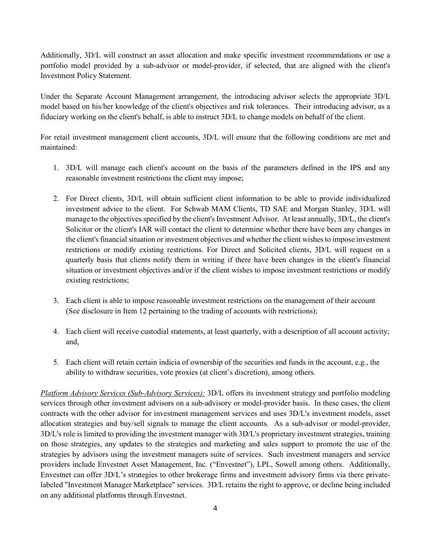Additionally, 3D/L will construct an asset allocation and make specific investment recommendations or use a portfolio model provided by a sub-advisor or model-provider, if selected, that are aligned with the client's Investment Policy Statement.

Under the Separate Account Management arrangement, the introducing advisor selects the appropriate 3D/L model based on his/her knowledge of the client's objectives and risk tolerances. Their introducing advisor, as a fiduciary working on the client's behalf, is able to instruct 3D/L to change models on behalf of the client.

For retail investment management client accounts, 3D/L will ensure that the following conditions are met and maintained:

- 1. 3D/L will manage each client's account on the basis of the parameters defined in the IPS and any reasonable investment restrictions the client may impose;
- 2. For Direct clients, 3D/L will obtain sufficient client information to be able to provide individualized investment advice to the client. For Schwab MAM Clients, TD SAE and Morgan Stanley, 3D/L will manage to the objectives specified by the client's Investment Advisor. At least annually, 3D/L, the client's Solicitor or the client's IAR will contact the client to determine whether there have been any changes in the client's financial situation or investment objectives and whether the client wishes to impose investment restrictions or modify existing restrictions. For Direct and Solicited clients, 3D/L will request on a quarterly basis that clients notify them in writing if there have been changes in the client's financial situation or investment objectives and/or if the client wishes to impose investment restrictions or modify existing restrictions;
- 3. Each client is able to impose reasonable investment restrictions on the management of their account (See disclosure in Item 12 pertaining to the trading of accounts with restrictions);
- 4. Each client will receive custodial statements, at least quarterly, with a description of all account activity; and,
- 5. Each client will retain certain indicia of ownership of the securities and funds in the account, e.g., the ability to withdraw securities, vote proxies (at client's discretion), among others.

*Platform Advisory Services (Sub-Advisory Services):* 3D/L offers its investment strategy and portfolio modeling services through other investment advisors on a sub-advisory or model-provider basis. In these cases, the client contracts with the other advisor for investment management services and uses 3D/L's investment models, asset allocation strategies and buy/sell signals to manage the client accounts. As a sub-advisor or model-provider, 3D/L's role is limited to providing the investment manager with 3D/L's proprietary investment strategies, training on those strategies, any updates to the strategies and marketing and sales support to promote the use of the strategies by advisors using the investment managers suite of services. Such investment managers and service providers include Envestnet Asset Management, Inc. ("Envestnet"), LPL, Sowell among others. Additionally, Envestnet can offer 3D/L's strategies to other brokerage firms and investment advisory firms via there privatelabeled "Investment Manager Marketplace" services. 3D/L retains the right to approve, or decline being included on any additional platforms through Envestnet.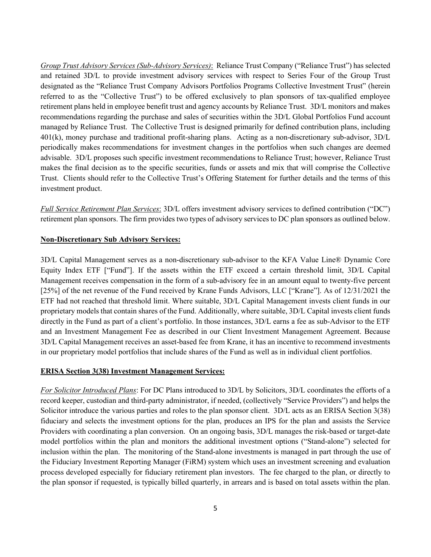*Group Trust Advisory Services (Sub-Advisory Services)*: Reliance Trust Company ("Reliance Trust") has selected and retained 3D/L to provide investment advisory services with respect to Series Four of the Group Trust designated as the "Reliance Trust Company Advisors Portfolios Programs Collective Investment Trust" (herein referred to as the "Collective Trust") to be offered exclusively to plan sponsors of tax-qualified employee retirement plans held in employee benefit trust and agency accounts by Reliance Trust. 3D/L monitors and makes recommendations regarding the purchase and sales of securities within the 3D/L Global Portfolios Fund account managed by Reliance Trust. The Collective Trust is designed primarily for defined contribution plans, including 401(k), money purchase and traditional profit-sharing plans. Acting as a non-discretionary sub-advisor, 3D/L periodically makes recommendations for investment changes in the portfolios when such changes are deemed advisable. 3D/L proposes such specific investment recommendations to Reliance Trust; however, Reliance Trust makes the final decision as to the specific securities, funds or assets and mix that will comprise the Collective Trust. Clients should refer to the Collective Trust's Offering Statement for further details and the terms of this investment product.

*Full Service Retirement Plan Services*: 3D/L offers investment advisory services to defined contribution ("DC") retirement plan sponsors. The firm provides two types of advisory services to DC plan sponsors as outlined below.

#### **Non-Discretionary Sub Advisory Services:**

3D/L Capital Management serves as a non-discretionary sub-advisor to the KFA Value Line® Dynamic Core Equity Index ETF ["Fund"]. If the assets within the ETF exceed a certain threshold limit, 3D/L Capital Management receives compensation in the form of a sub-advisory fee in an amount equal to twenty-five percent [25%] of the net revenue of the Fund received by Krane Funds Advisors, LLC ["Krane"]. As of 12/31/2021 the ETF had not reached that threshold limit. Where suitable, 3D/L Capital Management invests client funds in our proprietary models that contain shares of the Fund. Additionally, where suitable, 3D/L Capital invests client funds directly in the Fund as part of a client's portfolio. In those instances, 3D/L earns a fee as sub-Advisor to the ETF and an Investment Management Fee as described in our Client Investment Management Agreement. Because 3D/L Capital Management receives an asset-based fee from Krane, it has an incentive to recommend investments in our proprietary model portfolios that include shares of the Fund as well as in individual client portfolios.

#### **ERISA Section 3(38) Investment Management Services:**

*For Solicitor Introduced Plans*: For DC Plans introduced to 3D/L by Solicitors, 3D/L coordinates the efforts of a record keeper, custodian and third-party administrator, if needed, (collectively "Service Providers") and helps the Solicitor introduce the various parties and roles to the plan sponsor client. 3D/L acts as an ERISA Section 3(38) fiduciary and selects the investment options for the plan, produces an IPS for the plan and assists the Service Providers with coordinating a plan conversion. On an ongoing basis, 3D/L manages the risk-based or target-date model portfolios within the plan and monitors the additional investment options ("Stand-alone") selected for inclusion within the plan. The monitoring of the Stand-alone investments is managed in part through the use of the Fiduciary Investment Reporting Manager (FiRM) system which uses an investment screening and evaluation process developed especially for fiduciary retirement plan investors. The fee charged to the plan, or directly to the plan sponsor if requested, is typically billed quarterly, in arrears and is based on total assets within the plan.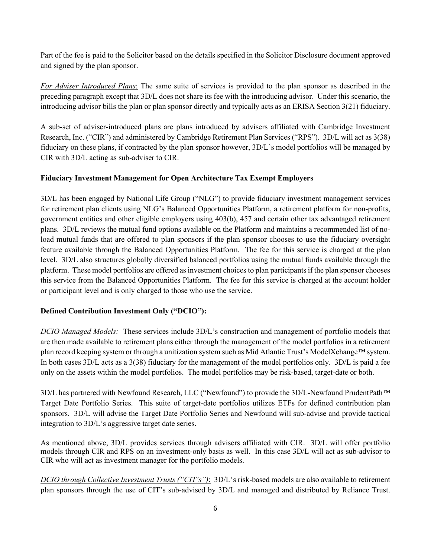Part of the fee is paid to the Solicitor based on the details specified in the Solicitor Disclosure document approved and signed by the plan sponsor.

*For Adviser Introduced Plans*: The same suite of services is provided to the plan sponsor as described in the preceding paragraph except that 3D/L does not share its fee with the introducing advisor. Under this scenario, the introducing advisor bills the plan or plan sponsor directly and typically acts as an ERISA Section 3(21) fiduciary.

A sub-set of adviser-introduced plans are plans introduced by advisers affiliated with Cambridge Investment Research, Inc. ("CIR") and administered by Cambridge Retirement Plan Services ("RPS"). 3D/L will act as 3(38) fiduciary on these plans, if contracted by the plan sponsor however, 3D/L's model portfolios will be managed by CIR with 3D/L acting as sub-adviser to CIR.

## **Fiduciary Investment Management for Open Architecture Tax Exempt Employers**

3D/L has been engaged by National Life Group ("NLG") to provide fiduciary investment management services for retirement plan clients using NLG's Balanced Opportunities Platform, a retirement platform for non-profits, government entities and other eligible employers using 403(b), 457 and certain other tax advantaged retirement plans. 3D/L reviews the mutual fund options available on the Platform and maintains a recommended list of noload mutual funds that are offered to plan sponsors if the plan sponsor chooses to use the fiduciary oversight feature available through the Balanced Opportunities Platform. The fee for this service is charged at the plan level. 3D/L also structures globally diversified balanced portfolios using the mutual funds available through the platform. These model portfolios are offered as investment choices to plan participants if the plan sponsor chooses this service from the Balanced Opportunities Platform. The fee for this service is charged at the account holder or participant level and is only charged to those who use the service.

## **Defined Contribution Investment Only ("DCIO"):**

*DCIO Managed Models:* These services include 3D/L's construction and management of portfolio models that are then made available to retirement plans either through the management of the model portfolios in a retirement plan record keeping system or through a unitization system such as Mid Atlantic Trust's ModelXchange™ system. In both cases 3D/L acts as a 3(38) fiduciary for the management of the model portfolios only. 3D/L is paid a fee only on the assets within the model portfolios. The model portfolios may be risk-based, target-date or both.

3D/L has partnered with Newfound Research, LLC ("Newfound") to provide the 3D/L-Newfound PrudentPath™ Target Date Portfolio Series. This suite of target-date portfolios utilizes ETFs for defined contribution plan sponsors. 3D/L will advise the Target Date Portfolio Series and Newfound will sub-advise and provide tactical integration to 3D/L's aggressive target date series.

As mentioned above, 3D/L provides services through advisers affiliated with CIR. 3D/L will offer portfolio models through CIR and RPS on an investment-only basis as well. In this case 3D/L will act as sub-advisor to CIR who will act as investment manager for the portfolio models.

*DCIO through Collective Investment Trusts ("CIT's")*: 3D/L's risk-based models are also available to retirement plan sponsors through the use of CIT's sub-advised by 3D/L and managed and distributed by Reliance Trust.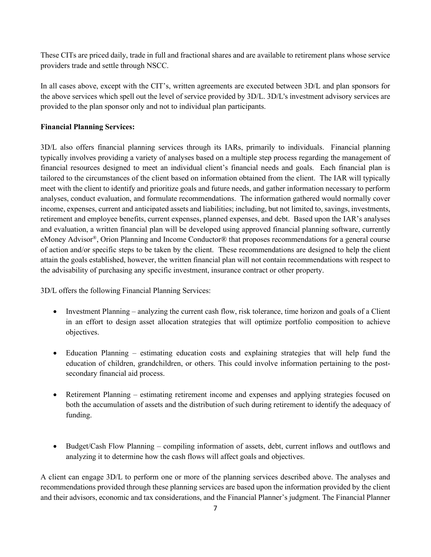These CITs are priced daily, trade in full and fractional shares and are available to retirement plans whose service providers trade and settle through NSCC.

In all cases above, except with the CIT's, written agreements are executed between 3D/L and plan sponsors for the above services which spell out the level of service provided by 3D/L. 3D/L's investment advisory services are provided to the plan sponsor only and not to individual plan participants.

## **Financial Planning Services:**

3D/L also offers financial planning services through its IARs, primarily to individuals. Financial planning typically involves providing a variety of analyses based on a multiple step process regarding the management of financial resources designed to meet an individual client's financial needs and goals. Each financial plan is tailored to the circumstances of the client based on information obtained from the client. The IAR will typically meet with the client to identify and prioritize goals and future needs, and gather information necessary to perform analyses, conduct evaluation, and formulate recommendations. The information gathered would normally cover income, expenses, current and anticipated assets and liabilities; including, but not limited to, savings, investments, retirement and employee benefits, current expenses, planned expenses, and debt. Based upon the IAR's analyses and evaluation, a written financial plan will be developed using approved financial planning software, currently eMoney Advisor®, Orion Planning and Income Conductor® that proposes recommendations for a general course of action and/or specific steps to be taken by the client. These recommendations are designed to help the client attain the goals established, however, the written financial plan will not contain recommendations with respect to the advisability of purchasing any specific investment, insurance contract or other property.

3D/L offers the following Financial Planning Services:

- Investment Planning analyzing the current cash flow, risk tolerance, time horizon and goals of a Client in an effort to design asset allocation strategies that will optimize portfolio composition to achieve objectives.
- Education Planning estimating education costs and explaining strategies that will help fund the education of children, grandchildren, or others. This could involve information pertaining to the postsecondary financial aid process.
- Retirement Planning estimating retirement income and expenses and applying strategies focused on both the accumulation of assets and the distribution of such during retirement to identify the adequacy of funding.
- Budget/Cash Flow Planning compiling information of assets, debt, current inflows and outflows and analyzing it to determine how the cash flows will affect goals and objectives.

A client can engage 3D/L to perform one or more of the planning services described above. The analyses and recommendations provided through these planning services are based upon the information provided by the client and their advisors, economic and tax considerations, and the Financial Planner's judgment. The Financial Planner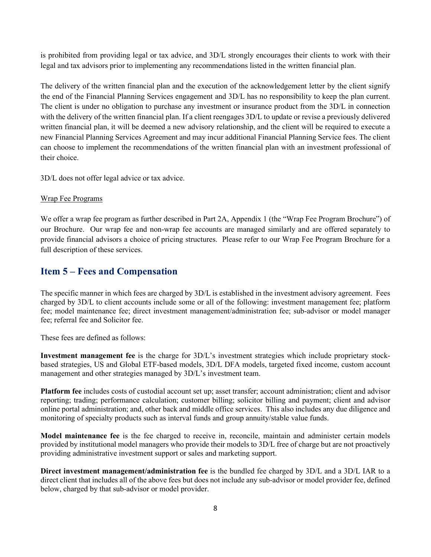is prohibited from providing legal or tax advice, and 3D/L strongly encourages their clients to work with their legal and tax advisors prior to implementing any recommendations listed in the written financial plan.

The delivery of the written financial plan and the execution of the acknowledgement letter by the client signify the end of the Financial Planning Services engagement and 3D/L has no responsibility to keep the plan current. The client is under no obligation to purchase any investment or insurance product from the 3D/L in connection with the delivery of the written financial plan. If a client reengages 3D/L to update or revise a previously delivered written financial plan, it will be deemed a new advisory relationship, and the client will be required to execute a new Financial Planning Services Agreement and may incur additional Financial Planning Service fees. The client can choose to implement the recommendations of the written financial plan with an investment professional of their choice.

3D/L does not offer legal advice or tax advice.

#### Wrap Fee Programs

We offer a wrap fee program as further described in Part 2A, Appendix 1 (the "Wrap Fee Program Brochure") of our Brochure. Our wrap fee and non-wrap fee accounts are managed similarly and are offered separately to provide financial advisors a choice of pricing structures. Please refer to our Wrap Fee Program Brochure for a full description of these services.

## <span id="page-10-0"></span>**Item 5 – Fees and Compensation**

The specific manner in which fees are charged by 3D/L is established in the investment advisory agreement. Fees charged by 3D/L to client accounts include some or all of the following: investment management fee; platform fee; model maintenance fee; direct investment management/administration fee; sub-advisor or model manager fee; referral fee and Solicitor fee.

These fees are defined as follows:

**Investment management fee** is the charge for 3D/L's investment strategies which include proprietary stockbased strategies, US and Global ETF-based models, 3D/L DFA models, targeted fixed income, custom account management and other strategies managed by 3D/L's investment team.

**Platform fee** includes costs of custodial account set up; asset transfer; account administration; client and advisor reporting; trading; performance calculation; customer billing; solicitor billing and payment; client and advisor online portal administration; and, other back and middle office services. This also includes any due diligence and monitoring of specialty products such as interval funds and group annuity/stable value funds.

**Model maintenance fee** is the fee charged to receive in, reconcile, maintain and administer certain models provided by institutional model managers who provide their models to 3D/L free of charge but are not proactively providing administrative investment support or sales and marketing support.

**Direct investment management/administration fee** is the bundled fee charged by 3D/L and a 3D/L IAR to a direct client that includes all of the above fees but does not include any sub-advisor or model provider fee, defined below, charged by that sub-advisor or model provider.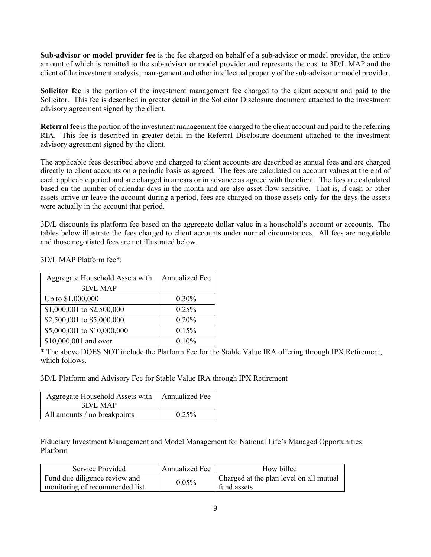**Sub-advisor or model provider fee** is the fee charged on behalf of a sub-advisor or model provider, the entire amount of which is remitted to the sub-advisor or model provider and represents the cost to 3D/L MAP and the client of the investment analysis, management and other intellectual property of the sub-advisor or model provider.

**Solicitor fee** is the portion of the investment management fee charged to the client account and paid to the Solicitor. This fee is described in greater detail in the Solicitor Disclosure document attached to the investment advisory agreement signed by the client.

**Referral fee** is the portion of the investment management fee charged to the client account and paid to the referring RIA. This fee is described in greater detail in the Referral Disclosure document attached to the investment advisory agreement signed by the client.

The applicable fees described above and charged to client accounts are described as annual fees and are charged directly to client accounts on a periodic basis as agreed. The fees are calculated on account values at the end of each applicable period and are charged in arrears or in advance as agreed with the client. The fees are calculated based on the number of calendar days in the month and are also asset-flow sensitive. That is, if cash or other assets arrive or leave the account during a period, fees are charged on those assets only for the days the assets were actually in the account that period.

3D/L discounts its platform fee based on the aggregate dollar value in a household's account or accounts. The tables below illustrate the fees charged to client accounts under normal circumstances. All fees are negotiable and those negotiated fees are not illustrated below.

3D/L MAP Platform fee\*:

| Aggregate Household Assets with | <b>Annualized Fee</b> |
|---------------------------------|-----------------------|
| 3D/L MAP                        |                       |
| Up to \$1,000,000               | $0.30\%$              |
| \$1,000,001 to \$2,500,000      | 0.25%                 |
| \$2,500,001 to \$5,000,000      | 0.20%                 |
| \$5,000,001 to \$10,000,000     | 0.15%                 |
| \$10,000,001 and over           | 0.10%                 |

\* The above DOES NOT include the Platform Fee for the Stable Value IRA offering through IPX Retirement, which follows.

3D/L Platform and Advisory Fee for Stable Value IRA through IPX Retirement

| Aggregate Household Assets with   Annualized Fee |          |
|--------------------------------------------------|----------|
| $3D/L$ MAP                                       |          |
| All amounts / no breakpoints                     | $0.25\%$ |

Fiduciary Investment Management and Model Management for National Life's Managed Opportunities Platform

| Service Provided                                                | Annualized Fee | How billed                                             |
|-----------------------------------------------------------------|----------------|--------------------------------------------------------|
| Fund due diligence review and<br>monitoring of recommended list | 0.05%          | Charged at the plan level on all mutual<br>fund assets |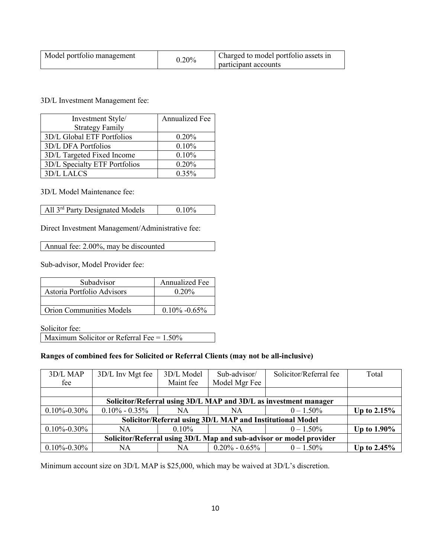| Model portfolio management | $0.20\%$ | Charged to model portfolio assets in<br>participant accounts |
|----------------------------|----------|--------------------------------------------------------------|
|----------------------------|----------|--------------------------------------------------------------|

3D/L Investment Management fee:

| Investment Style/             | Annualized Fee |
|-------------------------------|----------------|
| <b>Strategy Family</b>        |                |
| 3D/L Global ETF Portfolios    | 0.20%          |
| 3D/L DFA Portfolios           | 0.10%          |
| 3D/L Targeted Fixed Income    | 0.10%          |
| 3D/L Specialty ETF Portfolios | 0.20%          |
| 3D/L LALCS                    | 0.35%          |

3D/L Model Maintenance fee:

All 3<sup>rd</sup> Party Designated Models 0.10%

Direct Investment Management/Administrative fee:

Annual fee: 2.00%, may be discounted

Sub-advisor, Model Provider fee:

| Subadvisor                      | <b>Annualized Fee</b> |
|---------------------------------|-----------------------|
| Astoria Portfolio Advisors      | $0.20\%$              |
|                                 |                       |
| <b>Orion Communities Models</b> | $0.10\% -0.65\%$      |

Solicitor fee:

Maximum Solicitor or Referral Fee = 1.50%

#### **Ranges of combined fees for Solicited or Referral Clients (may not be all-inclusive)**

| 3D/L MAP                                                            | 3D/L Inv Mgt fee  | 3D/L Model | Sub-advisor/        | Solicitor/Referral fee | Total       |
|---------------------------------------------------------------------|-------------------|------------|---------------------|------------------------|-------------|
| fee                                                                 |                   | Maint fee  | Model Mgr Fee       |                        |             |
|                                                                     |                   |            |                     |                        |             |
| Solicitor/Referral using 3D/L MAP and 3D/L as investment manager    |                   |            |                     |                        |             |
| $0.10\% - 0.30\%$                                                   | $0.10\% - 0.35\%$ | NA         | NA                  | $0 - 1.50\%$           | Up to 2.15% |
| Solicitor/Referral using 3D/L MAP and Institutional Model           |                   |            |                     |                        |             |
| $0.10\% - 0.30\%$                                                   | NA.               | $0.10\%$   | NA                  | $0 - 1.50\%$           | Up to 1.90% |
| Solicitor/Referral using 3D/L Map and sub-advisor or model provider |                   |            |                     |                        |             |
| $0.10\% - 0.30\%$                                                   | NA                | NA         | $0.20\%$ - $0.65\%$ | $0 - 1.50\%$           | Up to 2.45% |

Minimum account size on 3D/L MAP is \$25,000, which may be waived at 3D/L's discretion.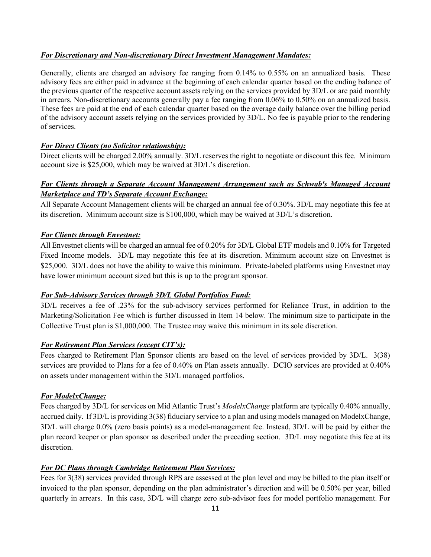#### *For Discretionary and Non-discretionary Direct Investment Management Mandates:*

Generally, clients are charged an advisory fee ranging from 0.14% to 0.55% on an annualized basis. These advisory fees are either paid in advance at the beginning of each calendar quarter based on the ending balance of the previous quarter of the respective account assets relying on the services provided by 3D/L or are paid monthly in arrears. Non-discretionary accounts generally pay a fee ranging from 0.06% to 0.50% on an annualized basis. These fees are paid at the end of each calendar quarter based on the average daily balance over the billing period of the advisory account assets relying on the services provided by 3D/L. No fee is payable prior to the rendering of services.

#### *For Direct Clients (no Solicitor relationship):*

Direct clients will be charged 2.00% annually. 3D/L reserves the right to negotiate or discount this fee. Minimum account size is \$25,000, which may be waived at 3D/L's discretion.

## *For Clients through a Separate Account Management Arrangement such as Schwab's Managed Account Marketplace and TD's Separate Account Exchange:*

All Separate Account Management clients will be charged an annual fee of 0.30%. 3D/L may negotiate this fee at its discretion. Minimum account size is \$100,000, which may be waived at 3D/L's discretion.

#### *For Clients through Envestnet:*

All Envestnet clients will be charged an annual fee of 0.20% for 3D/L Global ETF models and 0.10% for Targeted Fixed Income models. 3D/L may negotiate this fee at its discretion. Minimum account size on Envestnet is \$25,000. 3D/L does not have the ability to waive this minimum. Private-labeled platforms using Envestnet may have lower minimum account sized but this is up to the program sponsor.

#### *For Sub-Advisory Services through 3D/L Global Portfolios Fund:*

3D/L receives a fee of .23% for the sub-advisory services performed for Reliance Trust, in addition to the Marketing/Solicitation Fee which is further discussed in Item 14 below. The minimum size to participate in the Collective Trust plan is \$1,000,000. The Trustee may waive this minimum in its sole discretion.

#### *For Retirement Plan Services (except CIT's):*

Fees charged to Retirement Plan Sponsor clients are based on the level of services provided by 3D/L. 3(38) services are provided to Plans for a fee of 0.40% on Plan assets annually. DCIO services are provided at 0.40% on assets under management within the 3D/L managed portfolios.

#### *For ModelxChange:*

Fees charged by 3D/L for services on Mid Atlantic Trust's *ModelxChange* platform are typically 0.40% annually, accrued daily. If 3D/L is providing 3(38) fiduciary service to a plan and using models managed on ModelxChange, 3D/L will charge 0.0% (zero basis points) as a model-management fee. Instead, 3D/L will be paid by either the plan record keeper or plan sponsor as described under the preceding section. 3D/L may negotiate this fee at its discretion.

## *For DC Plans through Cambridge Retirement Plan Services:*

Fees for 3(38) services provided through RPS are assessed at the plan level and may be billed to the plan itself or invoiced to the plan sponsor, depending on the plan administrator's direction and will be 0.50% per year, billed quarterly in arrears. In this case, 3D/L will charge zero sub-advisor fees for model portfolio management. For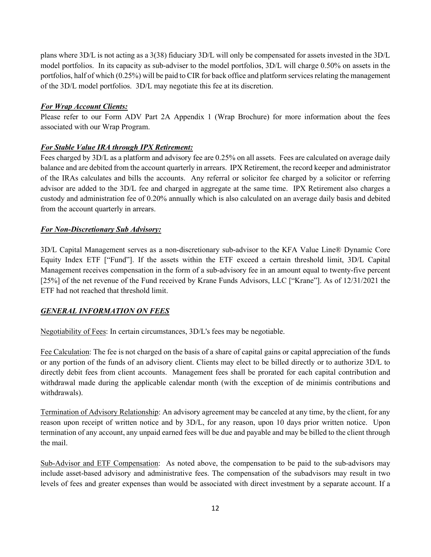plans where 3D/L is not acting as a 3(38) fiduciary 3D/L will only be compensated for assets invested in the 3D/L model portfolios. In its capacity as sub-adviser to the model portfolios, 3D/L will charge 0.50% on assets in the portfolios, half of which (0.25%) will be paid to CIR for back office and platform services relating the management of the 3D/L model portfolios. 3D/L may negotiate this fee at its discretion.

#### *For Wrap Account Clients:*

Please refer to our Form ADV Part 2A Appendix 1 (Wrap Brochure) for more information about the fees associated with our Wrap Program.

## *For Stable Value IRA through IPX Retirement:*

Fees charged by 3D/L as a platform and advisory fee are 0.25% on all assets. Fees are calculated on average daily balance and are debited from the account quarterly in arrears. IPX Retirement, the record keeper and administrator of the IRAs calculates and bills the accounts. Any referral or solicitor fee charged by a solicitor or referring advisor are added to the 3D/L fee and charged in aggregate at the same time. IPX Retirement also charges a custody and administration fee of 0.20% annually which is also calculated on an average daily basis and debited from the account quarterly in arrears.

#### *For Non-Discretionary Sub Advisory:*

3D/L Capital Management serves as a non-discretionary sub-advisor to the KFA Value Line® Dynamic Core Equity Index ETF ["Fund"]. If the assets within the ETF exceed a certain threshold limit, 3D/L Capital Management receives compensation in the form of a sub-advisory fee in an amount equal to twenty-five percent [25%] of the net revenue of the Fund received by Krane Funds Advisors, LLC ["Krane"]. As of 12/31/2021 the ETF had not reached that threshold limit.

## *GENERAL INFORMATION ON FEES*

Negotiability of Fees: In certain circumstances, 3D/L's fees may be negotiable.

Fee Calculation: The fee is not charged on the basis of a share of capital gains or capital appreciation of the funds or any portion of the funds of an advisory client. Clients may elect to be billed directly or to authorize 3D/L to directly debit fees from client accounts. Management fees shall be prorated for each capital contribution and withdrawal made during the applicable calendar month (with the exception of de minimis contributions and withdrawals).

Termination of Advisory Relationship: An advisory agreement may be canceled at any time, by the client, for any reason upon receipt of written notice and by 3D/L, for any reason, upon 10 days prior written notice. Upon termination of any account, any unpaid earned fees will be due and payable and may be billed to the client through the mail.

Sub-Advisor and ETF Compensation: As noted above, the compensation to be paid to the sub-advisors may include asset-based advisory and administrative fees. The compensation of the subadvisors may result in two levels of fees and greater expenses than would be associated with direct investment by a separate account. If a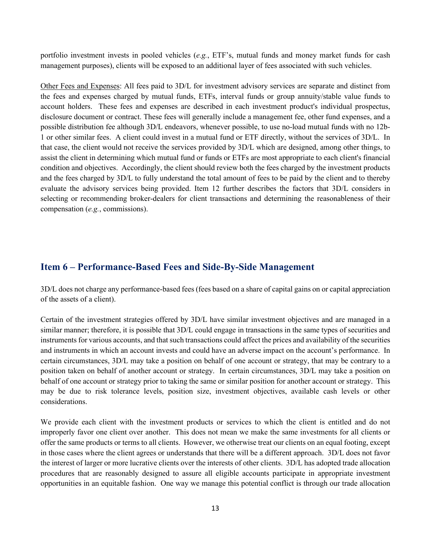portfolio investment invests in pooled vehicles (*e.g.*, ETF's, mutual funds and money market funds for cash management purposes), clients will be exposed to an additional layer of fees associated with such vehicles.

Other Fees and Expenses: All fees paid to 3D/L for investment advisory services are separate and distinct from the fees and expenses charged by mutual funds, ETFs, interval funds or group annuity/stable value funds to account holders. These fees and expenses are described in each investment product's individual prospectus, disclosure document or contract. These fees will generally include a management fee, other fund expenses, and a possible distribution fee although 3D/L endeavors, whenever possible, to use no-load mutual funds with no 12b-1 or other similar fees. A client could invest in a mutual fund or ETF directly, without the services of 3D/L. In that case, the client would not receive the services provided by 3D/L which are designed, among other things, to assist the client in determining which mutual fund or funds or ETFs are most appropriate to each client's financial condition and objectives. Accordingly, the client should review both the fees charged by the investment products and the fees charged by 3D/L to fully understand the total amount of fees to be paid by the client and to thereby evaluate the advisory services being provided. Item 12 further describes the factors that 3D/L considers in selecting or recommending broker-dealers for client transactions and determining the reasonableness of their compensation (*e.g.*, commissions).

## <span id="page-15-0"></span>**Item 6 – Performance-Based Fees and Side-By-Side Management**

3D/L does not charge any performance-based fees (fees based on a share of capital gains on or capital appreciation of the assets of a client).

Certain of the investment strategies offered by 3D/L have similar investment objectives and are managed in a similar manner; therefore, it is possible that 3D/L could engage in transactions in the same types of securities and instruments for various accounts, and that such transactions could affect the prices and availability of the securities and instruments in which an account invests and could have an adverse impact on the account's performance. In certain circumstances, 3D/L may take a position on behalf of one account or strategy, that may be contrary to a position taken on behalf of another account or strategy. In certain circumstances, 3D/L may take a position on behalf of one account or strategy prior to taking the same or similar position for another account or strategy. This may be due to risk tolerance levels, position size, investment objectives, available cash levels or other considerations.

We provide each client with the investment products or services to which the client is entitled and do not improperly favor one client over another. This does not mean we make the same investments for all clients or offer the same products or terms to all clients. However, we otherwise treat our clients on an equal footing, except in those cases where the client agrees or understands that there will be a different approach. 3D/L does not favor the interest of larger or more lucrative clients over the interests of other clients. 3D/L has adopted trade allocation procedures that are reasonably designed to assure all eligible accounts participate in appropriate investment opportunities in an equitable fashion. One way we manage this potential conflict is through our trade allocation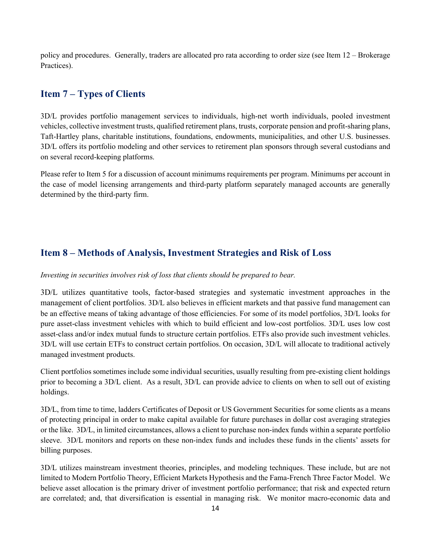policy and procedures. Generally, traders are allocated pro rata according to order size (see Item 12 – Brokerage Practices).

## <span id="page-16-0"></span>**Item 7 – Types of Clients**

3D/L provides portfolio management services to individuals, high-net worth individuals, pooled investment vehicles, collective investment trusts, qualified retirement plans, trusts, corporate pension and profit-sharing plans, Taft-Hartley plans, charitable institutions, foundations, endowments, municipalities, and other U.S. businesses. 3D/L offers its portfolio modeling and other services to retirement plan sponsors through several custodians and on several record-keeping platforms.

<span id="page-16-1"></span>Please refer to Item 5 for a discussion of account minimums requirements per program. Minimums per account in the case of model licensing arrangements and third-party platform separately managed accounts are generally determined by the third-party firm.

## **Item 8 – Methods of Analysis, Investment Strategies and Risk of Loss**

#### *Investing in securities involves risk of loss that clients should be prepared to bear.*

3D/L utilizes quantitative tools, factor-based strategies and systematic investment approaches in the management of client portfolios. 3D/L also believes in efficient markets and that passive fund management can be an effective means of taking advantage of those efficiencies. For some of its model portfolios, 3D/L looks for pure asset-class investment vehicles with which to build efficient and low-cost portfolios. 3D/L uses low cost asset-class and/or index mutual funds to structure certain portfolios. ETFs also provide such investment vehicles. 3D/L will use certain ETFs to construct certain portfolios. On occasion, 3D/L will allocate to traditional actively managed investment products.

Client portfolios sometimes include some individual securities, usually resulting from pre-existing client holdings prior to becoming a 3D/L client. As a result, 3D/L can provide advice to clients on when to sell out of existing holdings.

3D/L, from time to time, ladders Certificates of Deposit or US Government Securities for some clients as a means of protecting principal in order to make capital available for future purchases in dollar cost averaging strategies or the like. 3D/L, in limited circumstances, allows a client to purchase non-index funds within a separate portfolio sleeve. 3D/L monitors and reports on these non-index funds and includes these funds in the clients' assets for billing purposes.

3D/L utilizes mainstream investment theories, principles, and modeling techniques. These include, but are not limited to Modern Portfolio Theory, Efficient Markets Hypothesis and the Fama-French Three Factor Model. We believe asset allocation is the primary driver of investment portfolio performance; that risk and expected return are correlated; and, that diversification is essential in managing risk. We monitor macro-economic data and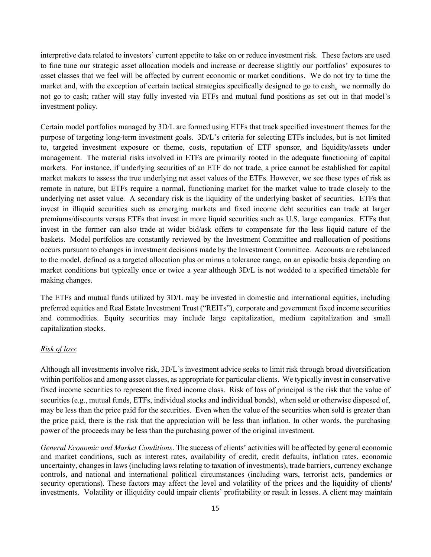interpretive data related to investors' current appetite to take on or reduce investment risk. These factors are used to fine tune our strategic asset allocation models and increase or decrease slightly our portfolios' exposures to asset classes that we feel will be affected by current economic or market conditions. We do not try to time the market and, with the exception of certain tactical strategies specifically designed to go to cash, we normally do not go to cash; rather will stay fully invested via ETFs and mutual fund positions as set out in that model's investment policy.

Certain model portfolios managed by 3D/L are formed using ETFs that track specified investment themes for the purpose of targeting long-term investment goals. 3D/L's criteria for selecting ETFs includes, but is not limited to, targeted investment exposure or theme, costs, reputation of ETF sponsor, and liquidity/assets under management. The material risks involved in ETFs are primarily rooted in the adequate functioning of capital markets. For instance, if underlying securities of an ETF do not trade, a price cannot be established for capital market makers to assess the true underlying net asset values of the ETFs. However, we see these types of risk as remote in nature, but ETFs require a normal, functioning market for the market value to trade closely to the underlying net asset value. A secondary risk is the liquidity of the underlying basket of securities. ETFs that invest in illiquid securities such as emerging markets and fixed income debt securities can trade at larger premiums/discounts versus ETFs that invest in more liquid securities such as U.S. large companies. ETFs that invest in the former can also trade at wider bid/ask offers to compensate for the less liquid nature of the baskets. Model portfolios are constantly reviewed by the Investment Committee and reallocation of positions occurs pursuant to changes in investment decisions made by the Investment Committee. Accounts are rebalanced to the model, defined as a targeted allocation plus or minus a tolerance range, on an episodic basis depending on market conditions but typically once or twice a year although 3D/L is not wedded to a specified timetable for making changes.

The ETFs and mutual funds utilized by 3D/L may be invested in domestic and international equities, including preferred equities and Real Estate Investment Trust ("REITs"), corporate and government fixed income securities and commodities. Equity securities may include large capitalization, medium capitalization and small capitalization stocks.

#### *Risk of loss*:

Although all investments involve risk, 3D/L's investment advice seeks to limit risk through broad diversification within portfolios and among asset classes, as appropriate for particular clients. We typically invest in conservative fixed income securities to represent the fixed income class. Risk of loss of principal is the risk that the value of securities (e.g., mutual funds, ETFs, individual stocks and individual bonds), when sold or otherwise disposed of, may be less than the price paid for the securities. Even when the value of the securities when sold is greater than the price paid, there is the risk that the appreciation will be less than inflation. In other words, the purchasing power of the proceeds may be less than the purchasing power of the original investment.

*General Economic and Market Conditions*. The success of clients' activities will be affected by general economic and market conditions, such as interest rates, availability of credit, credit defaults, inflation rates, economic uncertainty, changes in laws (including laws relating to taxation of investments), trade barriers, currency exchange controls, and national and international political circumstances (including wars, terrorist acts, pandemics or security operations). These factors may affect the level and volatility of the prices and the liquidity of clients' investments. Volatility or illiquidity could impair clients' profitability or result in losses. A client may maintain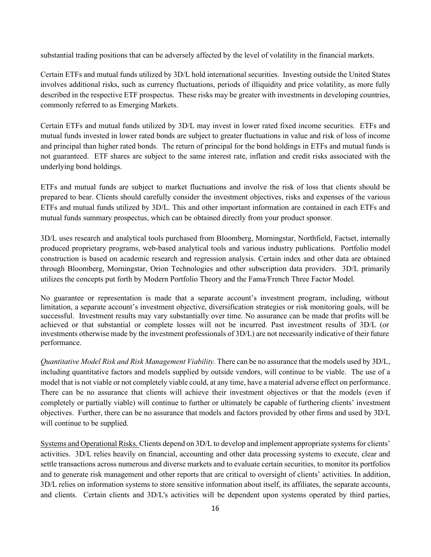substantial trading positions that can be adversely affected by the level of volatility in the financial markets.

Certain ETFs and mutual funds utilized by 3D/L hold international securities. Investing outside the United States involves additional risks, such as currency fluctuations, periods of illiquidity and price volatility, as more fully described in the respective ETF prospectus. These risks may be greater with investments in developing countries, commonly referred to as Emerging Markets.

Certain ETFs and mutual funds utilized by 3D/L may invest in lower rated fixed income securities. ETFs and mutual funds invested in lower rated bonds are subject to greater fluctuations in value and risk of loss of income and principal than higher rated bonds. The return of principal for the bond holdings in ETFs and mutual funds is not guaranteed. ETF shares are subject to the same interest rate, inflation and credit risks associated with the underlying bond holdings.

ETFs and mutual funds are subject to market fluctuations and involve the risk of loss that clients should be prepared to bear. Clients should carefully consider the investment objectives, risks and expenses of the various ETFs and mutual funds utilized by 3D/L. This and other important information are contained in each ETFs and mutual funds summary prospectus, which can be obtained directly from your product sponsor.

3D/L uses research and analytical tools purchased from Bloomberg, Morningstar, Northfield, Factset, internally produced proprietary programs, web-based analytical tools and various industry publications. Portfolio model construction is based on academic research and regression analysis. Certain index and other data are obtained through Bloomberg, Morningstar, Orion Technologies and other subscription data providers. 3D/L primarily utilizes the concepts put forth by Modern Portfolio Theory and the Fama/French Three Factor Model.

No guarantee or representation is made that a separate account's investment program, including, without limitation, a separate account's investment objective, diversification strategies or risk monitoring goals, will be successful. Investment results may vary substantially over time. No assurance can be made that profits will be achieved or that substantial or complete losses will not be incurred. Past investment results of 3D/L (or investments otherwise made by the investment professionals of 3D/L) are not necessarily indicative of their future performance.

*Quantitative Model Risk and Risk Management Viability.* There can be no assurance that the models used by 3D/L, including quantitative factors and models supplied by outside vendors, will continue to be viable. The use of a model that is not viable or not completely viable could, at any time, have a material adverse effect on performance. There can be no assurance that clients will achieve their investment objectives or that the models (even if completely or partially viable) will continue to further or ultimately be capable of furthering clients' investment objectives. Further, there can be no assurance that models and factors provided by other firms and used by 3D/L will continue to be supplied.

Systems and Operational Risks. Clients depend on 3D/L to develop and implement appropriate systems for clients' activities. 3D/L relies heavily on financial, accounting and other data processing systems to execute, clear and settle transactions across numerous and diverse markets and to evaluate certain securities, to monitor its portfolios and to generate risk management and other reports that are critical to oversight of clients' activities. In addition, 3D/L relies on information systems to store sensitive information about itself, its affiliates, the separate accounts, and clients. Certain clients and 3D/L's activities will be dependent upon systems operated by third parties,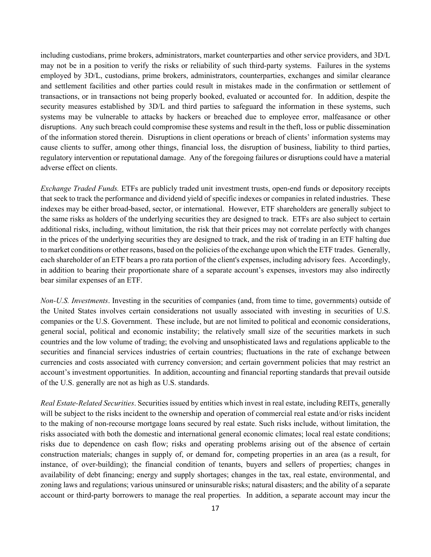including custodians, prime brokers, administrators, market counterparties and other service providers, and 3D/L may not be in a position to verify the risks or reliability of such third-party systems. Failures in the systems employed by 3D/L, custodians, prime brokers, administrators, counterparties, exchanges and similar clearance and settlement facilities and other parties could result in mistakes made in the confirmation or settlement of transactions, or in transactions not being properly booked, evaluated or accounted for. In addition, despite the security measures established by 3D/L and third parties to safeguard the information in these systems, such systems may be vulnerable to attacks by hackers or breached due to employee error, malfeasance or other disruptions. Any such breach could compromise these systems and result in the theft, loss or public dissemination of the information stored therein. Disruptions in client operations or breach of clients' information systems may cause clients to suffer, among other things, financial loss, the disruption of business, liability to third parties, regulatory intervention or reputational damage. Any of the foregoing failures or disruptions could have a material adverse effect on clients.

*Exchange Traded Funds.* ETFs are publicly traded unit investment trusts, open-end funds or depository receipts that seek to track the performance and dividend yield of specific indexes or companies in related industries. These indexes may be either broad-based, sector, or international. However, ETF shareholders are generally subject to the same risks as holders of the underlying securities they are designed to track. ETFs are also subject to certain additional risks, including, without limitation, the risk that their prices may not correlate perfectly with changes in the prices of the underlying securities they are designed to track, and the risk of trading in an ETF halting due to market conditions or other reasons, based on the policies of the exchange upon which the ETF trades. Generally, each shareholder of an ETF bears a pro rata portion of the client's expenses, including advisory fees. Accordingly, in addition to bearing their proportionate share of a separate account's expenses, investors may also indirectly bear similar expenses of an ETF.

*Non-U.S. Investments*. Investing in the securities of companies (and, from time to time, governments) outside of the United States involves certain considerations not usually associated with investing in securities of U.S. companies or the U.S. Government. These include, but are not limited to political and economic considerations, general social, political and economic instability; the relatively small size of the securities markets in such countries and the low volume of trading; the evolving and unsophisticated laws and regulations applicable to the securities and financial services industries of certain countries; fluctuations in the rate of exchange between currencies and costs associated with currency conversion; and certain government policies that may restrict an account's investment opportunities. In addition, accounting and financial reporting standards that prevail outside of the U.S. generally are not as high as U.S. standards.

*Real Estate-Related Securities*. Securities issued by entities which invest in real estate, including REITs, generally will be subject to the risks incident to the ownership and operation of commercial real estate and/or risks incident to the making of non-recourse mortgage loans secured by real estate. Such risks include, without limitation, the risks associated with both the domestic and international general economic climates; local real estate conditions; risks due to dependence on cash flow; risks and operating problems arising out of the absence of certain construction materials; changes in supply of, or demand for, competing properties in an area (as a result, for instance, of over-building); the financial condition of tenants, buyers and sellers of properties; changes in availability of debt financing; energy and supply shortages; changes in the tax, real estate, environmental, and zoning laws and regulations; various uninsured or uninsurable risks; natural disasters; and the ability of a separate account or third-party borrowers to manage the real properties. In addition, a separate account may incur the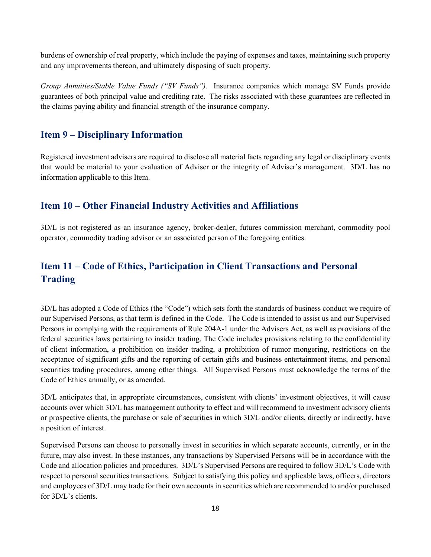burdens of ownership of real property, which include the paying of expenses and taxes, maintaining such property and any improvements thereon, and ultimately disposing of such property.

*Group Annuities/Stable Value Funds ("SV Funds").* Insurance companies which manage SV Funds provide guarantees of both principal value and crediting rate. The risks associated with these guarantees are reflected in the claims paying ability and financial strength of the insurance company.

## <span id="page-20-0"></span>**Item 9 – Disciplinary Information**

Registered investment advisers are required to disclose all material facts regarding any legal or disciplinary events that would be material to your evaluation of Adviser or the integrity of Adviser's management. 3D/L has no information applicable to this Item.

## <span id="page-20-1"></span>**Item 10 – Other Financial Industry Activities and Affiliations**

<span id="page-20-2"></span>3D/L is not registered as an insurance agency, broker-dealer, futures commission merchant, commodity pool operator, commodity trading advisor or an associated person of the foregoing entities.

## **Item 11 – Code of Ethics, Participation in Client Transactions and Personal Trading**

3D/L has adopted a Code of Ethics (the "Code") which sets forth the standards of business conduct we require of our Supervised Persons, as that term is defined in the Code. The Code is intended to assist us and our Supervised Persons in complying with the requirements of Rule 204A-1 under the Advisers Act, as well as provisions of the federal securities laws pertaining to insider trading. The Code includes provisions relating to the confidentiality of client information, a prohibition on insider trading, a prohibition of rumor mongering, restrictions on the acceptance of significant gifts and the reporting of certain gifts and business entertainment items, and personal securities trading procedures, among other things. All Supervised Persons must acknowledge the terms of the Code of Ethics annually, or as amended.

3D/L anticipates that, in appropriate circumstances, consistent with clients' investment objectives, it will cause accounts over which 3D/L has management authority to effect and will recommend to investment advisory clients or prospective clients, the purchase or sale of securities in which 3D/L and/or clients, directly or indirectly, have a position of interest.

Supervised Persons can choose to personally invest in securities in which separate accounts, currently, or in the future, may also invest. In these instances, any transactions by Supervised Persons will be in accordance with the Code and allocation policies and procedures. 3D/L's Supervised Persons are required to follow 3D/L's Code with respect to personal securities transactions. Subject to satisfying this policy and applicable laws, officers, directors and employees of 3D/L may trade for their own accounts in securities which are recommended to and/or purchased for 3D/L's clients.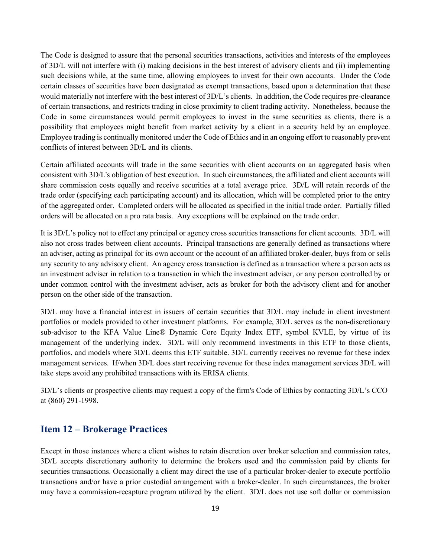The Code is designed to assure that the personal securities transactions, activities and interests of the employees of 3D/L will not interfere with (i) making decisions in the best interest of advisory clients and (ii) implementing such decisions while, at the same time, allowing employees to invest for their own accounts. Under the Code certain classes of securities have been designated as exempt transactions, based upon a determination that these would materially not interfere with the best interest of 3D/L's clients. In addition, the Code requires pre-clearance of certain transactions, and restricts trading in close proximity to client trading activity. Nonetheless, because the Code in some circumstances would permit employees to invest in the same securities as clients, there is a possibility that employees might benefit from market activity by a client in a security held by an employee. Employee trading is continually monitored under the Code of Ethics and in an ongoing effort to reasonably prevent conflicts of interest between 3D/L and its clients.

Certain affiliated accounts will trade in the same securities with client accounts on an aggregated basis when consistent with 3D/L's obligation of best execution. In such circumstances, the affiliated and client accounts will share commission costs equally and receive securities at a total average price. 3D/L will retain records of the trade order (specifying each participating account) and its allocation, which will be completed prior to the entry of the aggregated order. Completed orders will be allocated as specified in the initial trade order. Partially filled orders will be allocated on a pro rata basis. Any exceptions will be explained on the trade order.

It is 3D/L's policy not to effect any principal or agency cross securities transactions for client accounts. 3D/L will also not cross trades between client accounts. Principal transactions are generally defined as transactions where an adviser, acting as principal for its own account or the account of an affiliated broker-dealer, buys from or sells any security to any advisory client. An agency cross transaction is defined as a transaction where a person acts as an investment adviser in relation to a transaction in which the investment adviser, or any person controlled by or under common control with the investment adviser, acts as broker for both the advisory client and for another person on the other side of the transaction.

3D/L may have a financial interest in issuers of certain securities that 3D/L may include in client investment portfolios or models provided to other investment platforms. For example, 3D/L serves as the non-discretionary sub-advisor to the KFA Value Line® Dynamic Core Equity Index ETF, symbol KVLE, by virtue of its management of the underlying index. 3D/L will only recommend investments in this ETF to those clients, portfolios, and models where 3D/L deems this ETF suitable. 3D/L currently receives no revenue for these index management services. If/when 3D/L does start receiving revenue for these index management services 3D/L will take steps avoid any prohibited transactions with its ERISA clients.

3D/L's clients or prospective clients may request a copy of the firm's Code of Ethics by contacting 3D/L's CCO at (860) 291-1998.

## <span id="page-21-0"></span>**Item 12 – Brokerage Practices**

Except in those instances where a client wishes to retain discretion over broker selection and commission rates, 3D/L accepts discretionary authority to determine the brokers used and the commission paid by clients for securities transactions. Occasionally a client may direct the use of a particular broker-dealer to execute portfolio transactions and/or have a prior custodial arrangement with a broker-dealer. In such circumstances, the broker may have a commission-recapture program utilized by the client. 3D/L does not use soft dollar or commission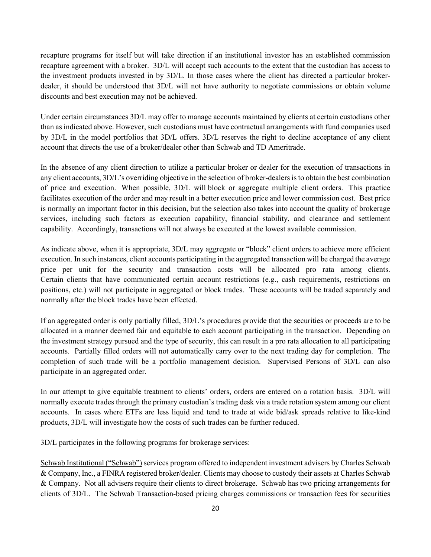recapture programs for itself but will take direction if an institutional investor has an established commission recapture agreement with a broker. 3D/L will accept such accounts to the extent that the custodian has access to the investment products invested in by 3D/L. In those cases where the client has directed a particular brokerdealer, it should be understood that 3D/L will not have authority to negotiate commissions or obtain volume discounts and best execution may not be achieved.

Under certain circumstances 3D/L may offer to manage accounts maintained by clients at certain custodians other than as indicated above. However, such custodians must have contractual arrangements with fund companies used by 3D/L in the model portfolios that 3D/L offers. 3D/L reserves the right to decline acceptance of any client account that directs the use of a broker/dealer other than Schwab and TD Ameritrade.

In the absence of any client direction to utilize a particular broker or dealer for the execution of transactions in any client accounts, 3D/L's overriding objective in the selection of broker-dealers is to obtain the best combination of price and execution. When possible, 3D/L will block or aggregate multiple client orders. This practice facilitates execution of the order and may result in a better execution price and lower commission cost. Best price is normally an important factor in this decision, but the selection also takes into account the quality of brokerage services, including such factors as execution capability, financial stability, and clearance and settlement capability. Accordingly, transactions will not always be executed at the lowest available commission.

As indicate above, when it is appropriate, 3D/L may aggregate or "block" client orders to achieve more efficient execution. In such instances, client accounts participating in the aggregated transaction will be charged the average price per unit for the security and transaction costs will be allocated pro rata among clients. Certain clients that have communicated certain account restrictions (e.g., cash requirements, restrictions on positions, etc.) will not participate in aggregated or block trades. These accounts will be traded separately and normally after the block trades have been effected.

If an aggregated order is only partially filled, 3D/L's procedures provide that the securities or proceeds are to be allocated in a manner deemed fair and equitable to each account participating in the transaction. Depending on the investment strategy pursued and the type of security, this can result in a pro rata allocation to all participating accounts. Partially filled orders will not automatically carry over to the next trading day for completion. The completion of such trade will be a portfolio management decision. Supervised Persons of 3D/L can also participate in an aggregated order.

In our attempt to give equitable treatment to clients' orders, orders are entered on a rotation basis. 3D/L will normally execute trades through the primary custodian's trading desk via a trade rotation system among our client accounts. In cases where ETFs are less liquid and tend to trade at wide bid/ask spreads relative to like-kind products, 3D/L will investigate how the costs of such trades can be further reduced.

3D/L participates in the following programs for brokerage services:

Schwab Institutional ("Schwab") services program offered to independent investment advisers by Charles Schwab & Company, Inc., a FINRA registered broker/dealer. Clients may choose to custody their assets at Charles Schwab & Company. Not all advisers require their clients to direct brokerage. Schwab has two pricing arrangements for clients of 3D/L. The Schwab Transaction-based pricing charges commissions or transaction fees for securities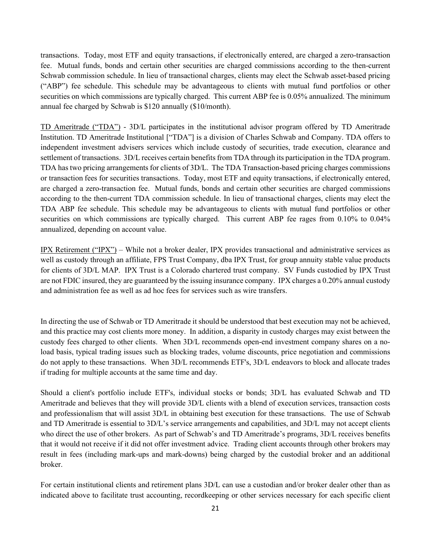transactions. Today, most ETF and equity transactions, if electronically entered, are charged a zero-transaction fee. Mutual funds, bonds and certain other securities are charged commissions according to the then-current Schwab commission schedule. In lieu of transactional charges, clients may elect the Schwab asset-based pricing ("ABP") fee schedule. This schedule may be advantageous to clients with mutual fund portfolios or other securities on which commissions are typically charged. This current ABP fee is 0.05% annualized. The minimum annual fee charged by Schwab is \$120 annually (\$10/month).

TD Ameritrade ("TDA") - 3D/L participates in the institutional advisor program offered by TD Ameritrade Institution. TD Ameritrade Institutional ["TDA"] is a division of Charles Schwab and Company. TDA offers to independent investment advisers services which include custody of securities, trade execution, clearance and settlement of transactions. 3D/L receives certain benefits from TDA through its participation in the TDA program. TDA has two pricing arrangements for clients of 3D/L. The TDA Transaction-based pricing charges commissions or transaction fees for securities transactions. Today, most ETF and equity transactions, if electronically entered, are charged a zero-transaction fee. Mutual funds, bonds and certain other securities are charged commissions according to the then-current TDA commission schedule. In lieu of transactional charges, clients may elect the TDA ABP fee schedule. This schedule may be advantageous to clients with mutual fund portfolios or other securities on which commissions are typically charged. This current ABP fee rages from 0.10% to 0.04% annualized, depending on account value.

IPX Retirement ("IPX") – While not a broker dealer, IPX provides transactional and administrative services as well as custody through an affiliate, FPS Trust Company, dba IPX Trust, for group annuity stable value products for clients of 3D/L MAP. IPX Trust is a Colorado chartered trust company. SV Funds custodied by IPX Trust are not FDIC insured, they are guaranteed by the issuing insurance company. IPX charges a 0.20% annual custody and administration fee as well as ad hoc fees for services such as wire transfers.

In directing the use of Schwab or TD Ameritrade it should be understood that best execution may not be achieved, and this practice may cost clients more money. In addition, a disparity in custody charges may exist between the custody fees charged to other clients. When 3D/L recommends open-end investment company shares on a noload basis, typical trading issues such as blocking trades, volume discounts, price negotiation and commissions do not apply to these transactions. When 3D/L recommends ETF's, 3D/L endeavors to block and allocate trades if trading for multiple accounts at the same time and day.

Should a client's portfolio include ETF's, individual stocks or bonds; 3D/L has evaluated Schwab and TD Ameritrade and believes that they will provide 3D/L clients with a blend of execution services, transaction costs and professionalism that will assist 3D/L in obtaining best execution for these transactions. The use of Schwab and TD Ameritrade is essential to 3D/L's service arrangements and capabilities, and 3D/L may not accept clients who direct the use of other brokers. As part of Schwab's and TD Ameritrade's programs, 3D/L receives benefits that it would not receive if it did not offer investment advice. Trading client accounts through other brokers may result in fees (including mark-ups and mark-downs) being charged by the custodial broker and an additional broker.

For certain institutional clients and retirement plans 3D/L can use a custodian and/or broker dealer other than as indicated above to facilitate trust accounting, recordkeeping or other services necessary for each specific client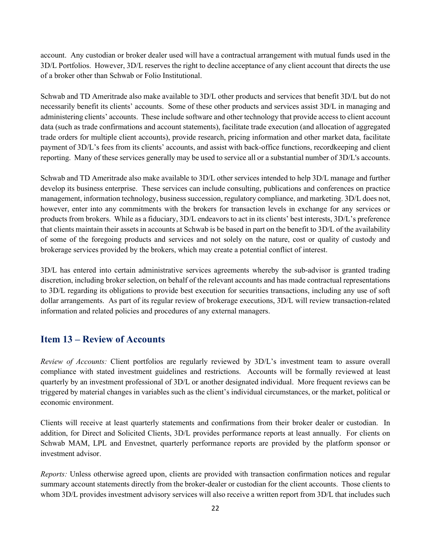account. Any custodian or broker dealer used will have a contractual arrangement with mutual funds used in the 3D/L Portfolios. However, 3D/L reserves the right to decline acceptance of any client account that directs the use of a broker other than Schwab or Folio Institutional.

Schwab and TD Ameritrade also make available to 3D/L other products and services that benefit 3D/L but do not necessarily benefit its clients' accounts. Some of these other products and services assist 3D/L in managing and administering clients' accounts. These include software and other technology that provide access to client account data (such as trade confirmations and account statements), facilitate trade execution (and allocation of aggregated trade orders for multiple client accounts), provide research, pricing information and other market data, facilitate payment of 3D/L's fees from its clients' accounts, and assist with back-office functions, recordkeeping and client reporting. Many of these services generally may be used to service all or a substantial number of 3D/L's accounts.

Schwab and TD Ameritrade also make available to 3D/L other services intended to help 3D/L manage and further develop its business enterprise. These services can include consulting, publications and conferences on practice management, information technology, business succession, regulatory compliance, and marketing. 3D/L does not, however, enter into any commitments with the brokers for transaction levels in exchange for any services or products from brokers. While as a fiduciary, 3D/L endeavors to act in its clients' best interests, 3D/L's preference that clients maintain their assets in accounts at Schwab is be based in part on the benefit to 3D/L of the availability of some of the foregoing products and services and not solely on the nature, cost or quality of custody and brokerage services provided by the brokers, which may create a potential conflict of interest.

3D/L has entered into certain administrative services agreements whereby the sub-advisor is granted trading discretion, including broker selection, on behalf of the relevant accounts and has made contractual representations to 3D/L regarding its obligations to provide best execution for securities transactions, including any use of soft dollar arrangements. As part of its regular review of brokerage executions, 3D/L will review transaction-related information and related policies and procedures of any external managers.

## <span id="page-24-0"></span>**Item 13 – Review of Accounts**

*Review of Accounts:* Client portfolios are regularly reviewed by 3D/L's investment team to assure overall compliance with stated investment guidelines and restrictions. Accounts will be formally reviewed at least quarterly by an investment professional of 3D/L or another designated individual. More frequent reviews can be triggered by material changes in variables such as the client's individual circumstances, or the market, political or economic environment.

Clients will receive at least quarterly statements and confirmations from their broker dealer or custodian. In addition, for Direct and Solicited Clients, 3D/L provides performance reports at least annually. For clients on Schwab MAM, LPL and Envestnet, quarterly performance reports are provided by the platform sponsor or investment advisor.

*Reports:* Unless otherwise agreed upon, clients are provided with transaction confirmation notices and regular summary account statements directly from the broker-dealer or custodian for the client accounts. Those clients to whom 3D/L provides investment advisory services will also receive a written report from 3D/L that includes such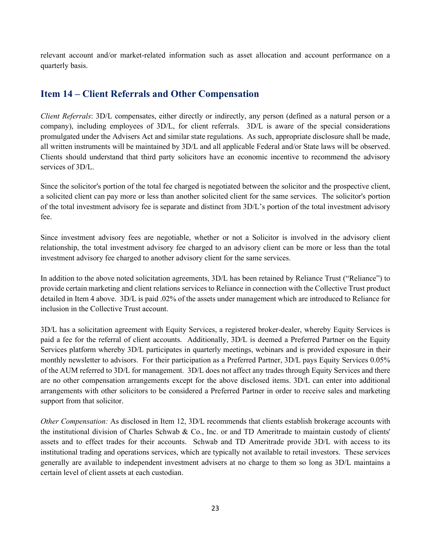<span id="page-25-0"></span>relevant account and/or market-related information such as asset allocation and account performance on a quarterly basis.

## **Item 14 – Client Referrals and Other Compensation**

*Client Referrals*: 3D/L compensates, either directly or indirectly, any person (defined as a natural person or a company), including employees of 3D/L, for client referrals. 3D/L is aware of the special considerations promulgated under the Advisers Act and similar state regulations. As such, appropriate disclosure shall be made, all written instruments will be maintained by 3D/L and all applicable Federal and/or State laws will be observed. Clients should understand that third party solicitors have an economic incentive to recommend the advisory services of 3D/L.

Since the solicitor's portion of the total fee charged is negotiated between the solicitor and the prospective client, a solicited client can pay more or less than another solicited client for the same services. The solicitor's portion of the total investment advisory fee is separate and distinct from 3D/L's portion of the total investment advisory fee.

Since investment advisory fees are negotiable, whether or not a Solicitor is involved in the advisory client relationship, the total investment advisory fee charged to an advisory client can be more or less than the total investment advisory fee charged to another advisory client for the same services.

In addition to the above noted solicitation agreements, 3D/L has been retained by Reliance Trust ("Reliance") to provide certain marketing and client relations services to Reliance in connection with the Collective Trust product detailed in Item 4 above. 3D/L is paid .02% of the assets under management which are introduced to Reliance for inclusion in the Collective Trust account.

3D/L has a solicitation agreement with Equity Services, a registered broker-dealer, whereby Equity Services is paid a fee for the referral of client accounts. Additionally, 3D/L is deemed a Preferred Partner on the Equity Services platform whereby 3D/L participates in quarterly meetings, webinars and is provided exposure in their monthly newsletter to advisors. For their participation as a Preferred Partner, 3D/L pays Equity Services 0.05% of the AUM referred to 3D/L for management. 3D/L does not affect any trades through Equity Services and there are no other compensation arrangements except for the above disclosed items. 3D/L can enter into additional arrangements with other solicitors to be considered a Preferred Partner in order to receive sales and marketing support from that solicitor.

*Other Compensation:* As disclosed in Item 12, 3D/L recommends that clients establish brokerage accounts with the institutional division of Charles Schwab & Co., Inc. or and TD Ameritrade to maintain custody of clients' assets and to effect trades for their accounts. Schwab and TD Ameritrade provide 3D/L with access to its institutional trading and operations services, which are typically not available to retail investors. These services generally are available to independent investment advisers at no charge to them so long as 3D/L maintains a certain level of client assets at each custodian.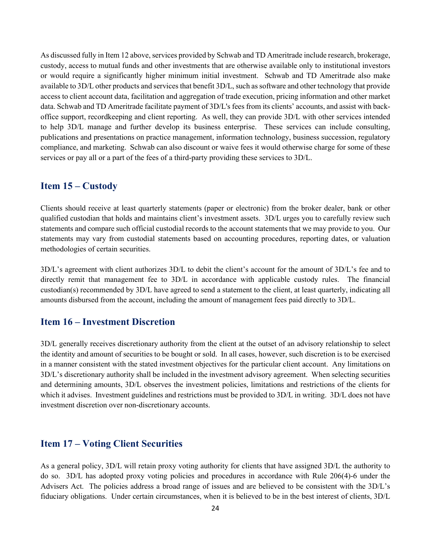As discussed fully in Item 12 above, services provided by Schwab and TD Ameritrade include research, brokerage, custody, access to mutual funds and other investments that are otherwise available only to institutional investors or would require a significantly higher minimum initial investment. Schwab and TD Ameritrade also make available to 3D/L other products and services that benefit 3D/L, such as software and other technology that provide access to client account data, facilitation and aggregation of trade execution, pricing information and other market data. Schwab and TD Ameritrade facilitate payment of 3D/L's fees from its clients' accounts, and assist with backoffice support, recordkeeping and client reporting. As well, they can provide 3D/L with other services intended to help 3D/L manage and further develop its business enterprise. These services can include consulting, publications and presentations on practice management, information technology, business succession, regulatory compliance, and marketing. Schwab can also discount or waive fees it would otherwise charge for some of these services or pay all or a part of the fees of a third-party providing these services to 3D/L.

## <span id="page-26-0"></span>**Item 15 – Custody**

Clients should receive at least quarterly statements (paper or electronic) from the broker dealer, bank or other qualified custodian that holds and maintains client's investment assets. 3D/L urges you to carefully review such statements and compare such official custodial records to the account statements that we may provide to you. Our statements may vary from custodial statements based on accounting procedures, reporting dates, or valuation methodologies of certain securities.

3D/L's agreement with client authorizes 3D/L to debit the client's account for the amount of 3D/L's fee and to directly remit that management fee to 3D/L in accordance with applicable custody rules. The financial custodian(s) recommended by 3D/L have agreed to send a statement to the client, at least quarterly, indicating all amounts disbursed from the account, including the amount of management fees paid directly to 3D/L.

## <span id="page-26-1"></span>**Item 16 – Investment Discretion**

3D/L generally receives discretionary authority from the client at the outset of an advisory relationship to select the identity and amount of securities to be bought or sold. In all cases, however, such discretion is to be exercised in a manner consistent with the stated investment objectives for the particular client account. Any limitations on 3D/L's discretionary authority shall be included in the investment advisory agreement. When selecting securities and determining amounts, 3D/L observes the investment policies, limitations and restrictions of the clients for which it advises. Investment guidelines and restrictions must be provided to 3D/L in writing. 3D/L does not have investment discretion over non-discretionary accounts.

## <span id="page-26-2"></span>**Item 17 – Voting Client Securities**

As a general policy, 3D/L will retain proxy voting authority for clients that have assigned 3D/L the authority to do so. 3D/L has adopted proxy voting policies and procedures in accordance with Rule 206(4)-6 under the Advisers Act. The policies address a broad range of issues and are believed to be consistent with the 3D/L's fiduciary obligations. Under certain circumstances, when it is believed to be in the best interest of clients, 3D/L